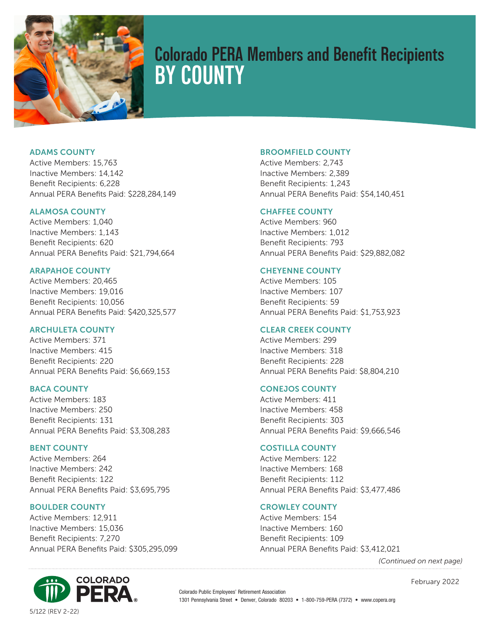

# **Colorado PERA Members and Benefit Recipients BY COUNTY**

ADAMS COUNTY

Active Members: 15,763 Inactive Members: 14,142 Benefit Recipients: 6,228 Annual PERA Benefits Paid: \$228,284,149

# ALAMOSA COUNTY

Active Members: 1,040 Inactive Members: 1,143 Benefit Recipients: 620 Annual PERA Benefits Paid: \$21,794,664

# ARAPAHOE COUNTY

Active Members: 20,465 Inactive Members: 19,016 Benefit Recipients: 10,056 Annual PERA Benefits Paid: \$420,325,577

# ARCHULETA COUNTY

Active Members: 371 Inactive Members: 415 Benefit Recipients: 220 Annual PERA Benefits Paid: \$6,669,153

# BACA COUNTY

Active Members: 183 Inactive Members: 250 Benefit Recipients: 131 Annual PERA Benefits Paid: \$3,308,283

# BENT COUNTY

Active Members: 264 Inactive Members: 242 Benefit Recipients: 122 Annual PERA Benefits Paid: \$3,695,795

# BOULDER COUNTY

Active Members: 12,911 Inactive Members: 15,036 Benefit Recipients: 7,270 Annual PERA Benefits Paid: \$305,295,099



Active Members: 2,743 Inactive Members: 2,389 Benefit Recipients: 1,243 Annual PERA Benefits Paid: \$54,140,451

# CHAFFEE COUNTY

Active Members: 960 Inactive Members: 1,012 Benefit Recipients: 793 Annual PERA Benefits Paid: \$29,882,082

# CHEYENNE COUNTY

Active Members: 105 Inactive Members: 107 Benefit Recipients: 59 Annual PERA Benefits Paid: \$1,753,923

# CLEAR CREEK COUNTY

Active Members: 299 Inactive Members: 318 Benefit Recipients: 228 Annual PERA Benefits Paid: \$8,804,210

# CONEJOS COUNTY

Active Members: 411 Inactive Members: 458 Benefit Recipients: 303 Annual PERA Benefits Paid: \$9,666,546

# COSTILLA COUNTY

Active Members: 122 Inactive Members: 168 Benefit Recipients: 112 Annual PERA Benefits Paid: \$3,477,486

# CROWLEY COUNTY

Active Members: 154 Inactive Members: 160 Benefit Recipients: 109 Annual PERA Benefits Paid: \$3,412,021

*(Continued on next page)*



Colorado Public Employees' Retirement Association 1301 Pennsylvania Street • Denver, Colorado 80203 • 1-800-759-PERA (7372) • www.copera.org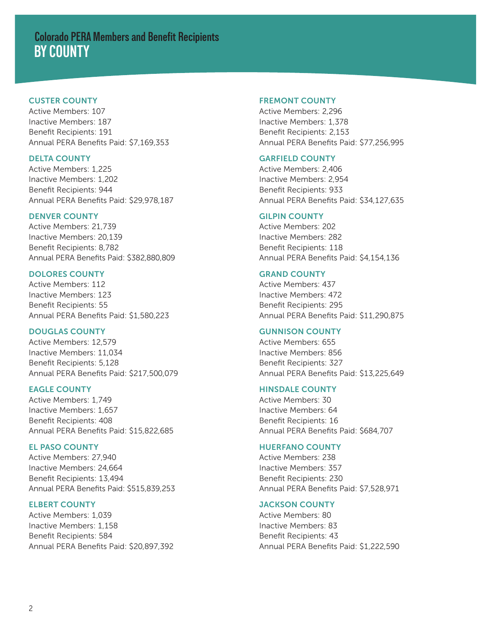# **BY COUNTY Colorado PERA Members and Benefit Recipients**

# CUSTER COUNTY

Active Members: 107 Inactive Members: 187 Benefit Recipients: 191 Annual PERA Benefits Paid: \$7,169,353

#### DELTA COUNTY

Active Members: 1,225 Inactive Members: 1,202 Benefit Recipients: 944 Annual PERA Benefits Paid: \$29,978,187

# DENVER COUNTY

Active Members: 21,739 Inactive Members: 20,139 Benefit Recipients: 8,782 Annual PERA Benefits Paid: \$382,880,809

#### DOLORES COUNTY

Active Members: 112 Inactive Members: 123 Benefit Recipients: 55 Annual PERA Benefits Paid: \$1,580,223

# DOUGLAS COUNTY

Active Members: 12,579 Inactive Members: 11,034 Benefit Recipients: 5,128 Annual PERA Benefits Paid: \$217,500,079

# EAGLE COUNTY

Active Members: 1,749 Inactive Members: 1,657 Benefit Recipients: 408 Annual PERA Benefits Paid: \$15,822,685

# EL PASO COUNTY

Active Members: 27,940 Inactive Members: 24,664 Benefit Recipients: 13,494 Annual PERA Benefits Paid: \$515,839,253

# ELBERT COUNTY

Active Members: 1,039 Inactive Members: 1,158 Benefit Recipients: 584 Annual PERA Benefits Paid: \$20,897,392

#### FREMONT COUNTY

Active Members: 2,296 Inactive Members: 1,378 Benefit Recipients: 2,153 Annual PERA Benefits Paid: \$77,256,995

# GARFIELD COUNTY

Active Members: 2,406 Inactive Members: 2,954 Benefit Recipients: 933 Annual PERA Benefits Paid: \$34,127,635

# GILPIN COUNTY

Active Members: 202 Inactive Members: 282 Benefit Recipients: 118 Annual PERA Benefits Paid: \$4,154,136

#### GRAND COUNTY

Active Members: 437 Inactive Members: 472 Benefit Recipients: 295 Annual PERA Benefits Paid: \$11,290,875

# GUNNISON COUNTY

Active Members: 655 Inactive Members: 856 Benefit Recipients: 327 Annual PERA Benefits Paid: \$13,225,649

# HINSDALE COUNTY

Active Members: 30 Inactive Members: 64 Benefit Recipients: 16 Annual PERA Benefits Paid: \$684,707

# HUERFANO COUNTY

Active Members: 238 Inactive Members: 357 Benefit Recipients: 230 Annual PERA Benefits Paid: \$7,528,971

#### JACKSON COUNTY

Active Members: 80 Inactive Members: 83 Benefit Recipients: 43 Annual PERA Benefits Paid: \$1,222,590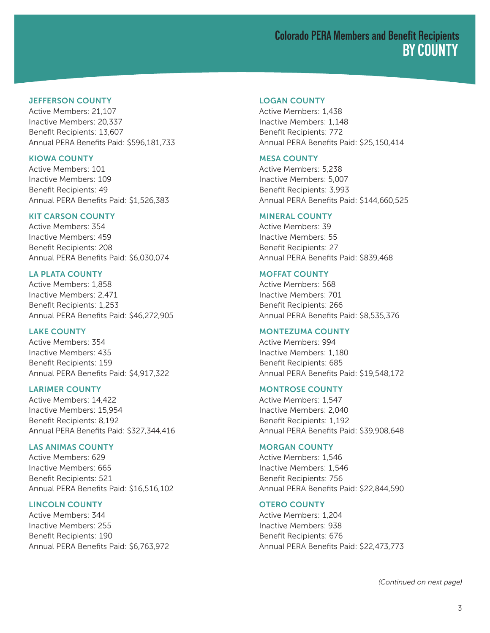## JEFFERSON COUNTY

Active Members: 21,107 Inactive Members: 20,337 Benefit Recipients: 13,607 Annual PERA Benefits Paid: \$596,181,733

#### KIOWA COUNTY

Active Members: 101 Inactive Members: 109 Benefit Recipients: 49 Annual PERA Benefits Paid: \$1,526,383

# KIT CARSON COUNTY

Active Members: 354 Inactive Members: 459 Benefit Recipients: 208 Annual PERA Benefits Paid: \$6,030,074

#### LA PLATA COUNTY

Active Members: 1,858 Inactive Members: 2,471 Benefit Recipients: 1,253 Annual PERA Benefits Paid: \$46,272,905

# LAKE COUNTY

Active Members: 354 Inactive Members: 435 Benefit Recipients: 159 Annual PERA Benefits Paid: \$4,917,322

#### LARIMER COUNTY

Active Members: 14,422 Inactive Members: 15,954 Benefit Recipients: 8,192 Annual PERA Benefits Paid: \$327,344,416

#### LAS ANIMAS COUNTY

Active Members: 629 Inactive Members: 665 Benefit Recipients: 521 Annual PERA Benefits Paid: \$16,516,102

#### LINCOLN COUNTY

Active Members: 344 Inactive Members: 255 Benefit Recipients: 190 Annual PERA Benefits Paid: \$6,763,972

# LOGAN COUNTY

Active Members: 1,438 Inactive Members: 1,148 Benefit Recipients: 772 Annual PERA Benefits Paid: \$25,150,414

# MESA COUNTY

Active Members: 5,238 Inactive Members: 5,007 Benefit Recipients: 3,993 Annual PERA Benefits Paid: \$144,660,525

#### MINERAL COUNTY

Active Members: 39 Inactive Members: 55 Benefit Recipients: 27 Annual PERA Benefits Paid: \$839,468

#### MOFFAT COUNTY

Active Members: 568 Inactive Members: 701 Benefit Recipients: 266 Annual PERA Benefits Paid: \$8,535,376

# MONTEZUMA COUNTY

Active Members: 994 Inactive Members: 1,180 Benefit Recipients: 685 Annual PERA Benefits Paid: \$19,548,172

#### MONTROSE COUNTY

Active Members: 1,547 Inactive Members: 2,040 Benefit Recipients: 1,192 Annual PERA Benefits Paid: \$39,908,648

#### MORGAN COUNTY

Active Members: 1,546 Inactive Members: 1,546 Benefit Recipients: 756 Annual PERA Benefits Paid: \$22,844,590

#### OTERO COUNTY

Active Members: 1,204 Inactive Members: 938 Benefit Recipients: 676 Annual PERA Benefits Paid: \$22,473,773

*(Continued on next page)*